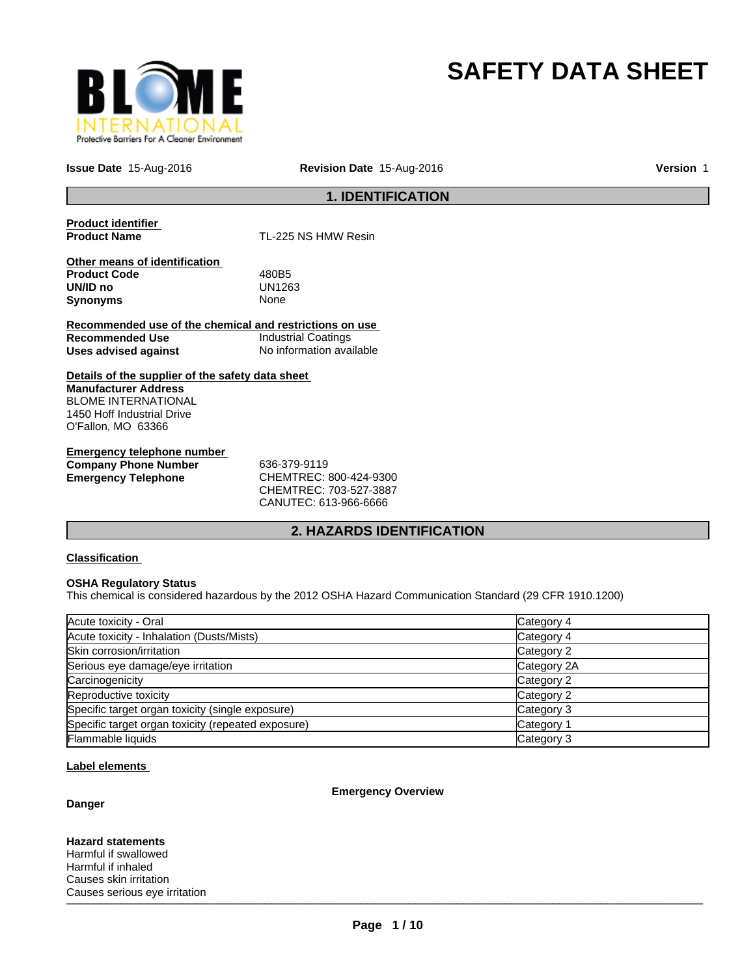

# **SAFETY DATA SHEET**

**Issue Date** 15-Aug-2016

**Revision Date** 15-Aug-2016 **Version** 1

### **1. IDENTIFICATION**

**Product identifier** 

**TL-225 NS HMW Resin** 

**Other means of identification Product Code** 480B5 **UN/ID no** UN12<br>**Synonyms** None **Synonyms** 

**Recommended use of the chemical and restrictions on use Recommended Use** Industrial Coatings **Uses advised against** No information available

**Details of the supplier of the safety data sheet Manufacturer Address** BLOME INTERNATIONAL 1450 Hoff Industrial Drive O'Fallon, MO 63366

**Emergency telephone number Company Phone Number** 636-379-9119 **Emergency Telephone** CHEMTREC: 800-424-9300

CHEMTREC: 703-527-3887 CANUTEC: 613-966-6666

### **2. HAZARDS IDENTIFICATION**

### **Classification**

### **OSHA Regulatory Status**

This chemical is considered hazardous by the 2012 OSHA Hazard Communication Standard (29 CFR 1910.1200)

| Acute toxicity - Oral                              | Category 4  |
|----------------------------------------------------|-------------|
| Acute toxicity - Inhalation (Dusts/Mists)          | Category 4  |
| Skin corrosion/irritation                          | Category 2  |
| Serious eye damage/eye irritation                  | Category 2A |
| Carcinogenicity                                    | Category 2  |
| Reproductive toxicity                              | Category 2  |
| Specific target organ toxicity (single exposure)   | Category 3  |
| Specific target organ toxicity (repeated exposure) | Category 1  |
| Flammable liquids                                  | Category 3  |

### **Label elements**

### **Danger**

**Emergency Overview**

 $\blacksquare$ **Hazard statements** Harmful if swallowed Harmful if inhaled Causes skin irritation Causes serious eye irritation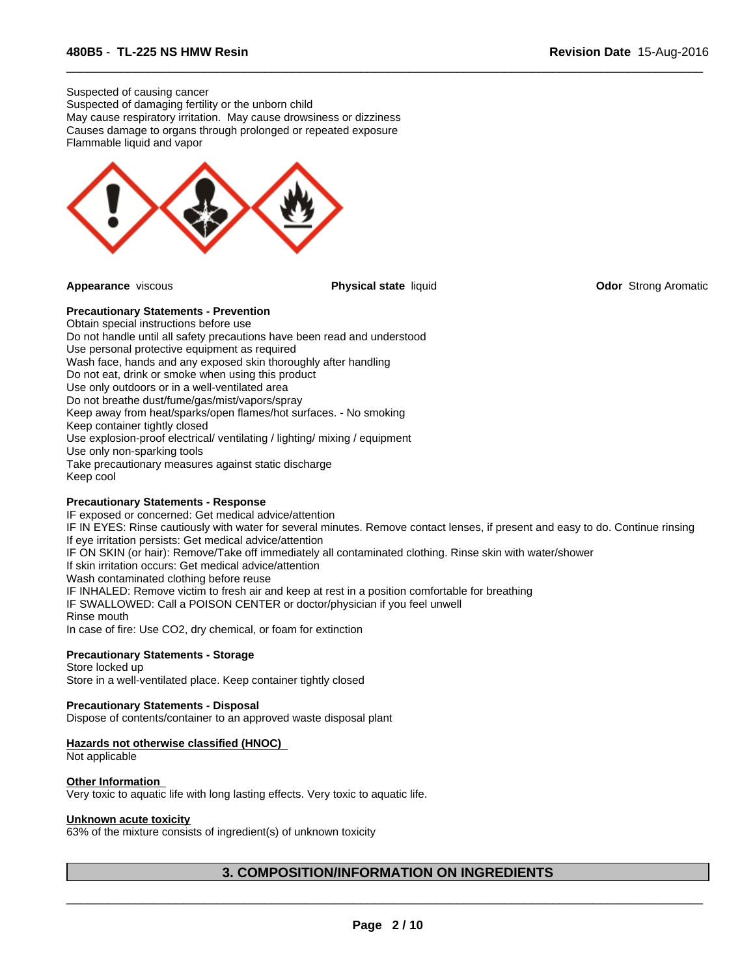Suspected of causing cancer Suspected of damaging fertility or the unborn child May cause respiratory irritation. May cause drowsiness or dizziness Causes damage to organs through prolonged or repeated exposure Flammable liquid and vapor



 $\overline{\phantom{a}}$  ,  $\overline{\phantom{a}}$  ,  $\overline{\phantom{a}}$  ,  $\overline{\phantom{a}}$  ,  $\overline{\phantom{a}}$  ,  $\overline{\phantom{a}}$  ,  $\overline{\phantom{a}}$  ,  $\overline{\phantom{a}}$  ,  $\overline{\phantom{a}}$  ,  $\overline{\phantom{a}}$  ,  $\overline{\phantom{a}}$  ,  $\overline{\phantom{a}}$  ,  $\overline{\phantom{a}}$  ,  $\overline{\phantom{a}}$  ,  $\overline{\phantom{a}}$  ,  $\overline{\phantom{a}}$ 

**Appearance** viscous **Physical state** liquid **Odor** Strong Aromatic

### **Precautionary Statements - Prevention**

Obtain special instructions before use Do not handle until all safety precautions have been read and understood Use personal protective equipment as required Wash face, hands and any exposed skin thoroughly after handling Do not eat, drink or smoke when using this product Use only outdoors or in a well-ventilated area Do not breathe dust/fume/gas/mist/vapors/spray Keep away from heat/sparks/open flames/hot surfaces. - No smoking Keep container tightly closed Use explosion-proof electrical/ ventilating / lighting/ mixing / equipment Use only non-sparking tools Take precautionary measures against static discharge Keep cool

### **Precautionary Statements - Response**

IF exposed or concerned: Get medical advice/attention IF IN EYES: Rinse cautiously with water for several minutes. Remove contact lenses, if present and easy to do. Continue rinsing If eye irritation persists: Get medical advice/attention IF ON SKIN (or hair): Remove/Take off immediately all contaminated clothing. Rinse skin with water/shower If skin irritation occurs: Get medical advice/attention Wash contaminated clothing before reuse IF INHALED: Remove victim to fresh air and keep at rest in a position comfortable for breathing IF SWALLOWED: Call a POISON CENTER or doctor/physician if you feel unwell Rinse mouth In case of fire: Use CO2, dry chemical, or foam for extinction

### **Precautionary Statements - Storage**

Store locked up Store in a well-ventilated place. Keep container tightly closed

### **Precautionary Statements - Disposal**

Dispose of contents/container to an approved waste disposal plant

#### **Hazards not otherwise classified (HNOC)**

Not applicable

### **Other Information**

Very toxic to aquatic life with long lasting effects. Very toxic to aquatic life.

### **Unknown acute toxicity**

63% of the mixture consists of ingredient(s) of unknown toxicity

### **3. COMPOSITION/INFORMATION ON INGREDIENTS**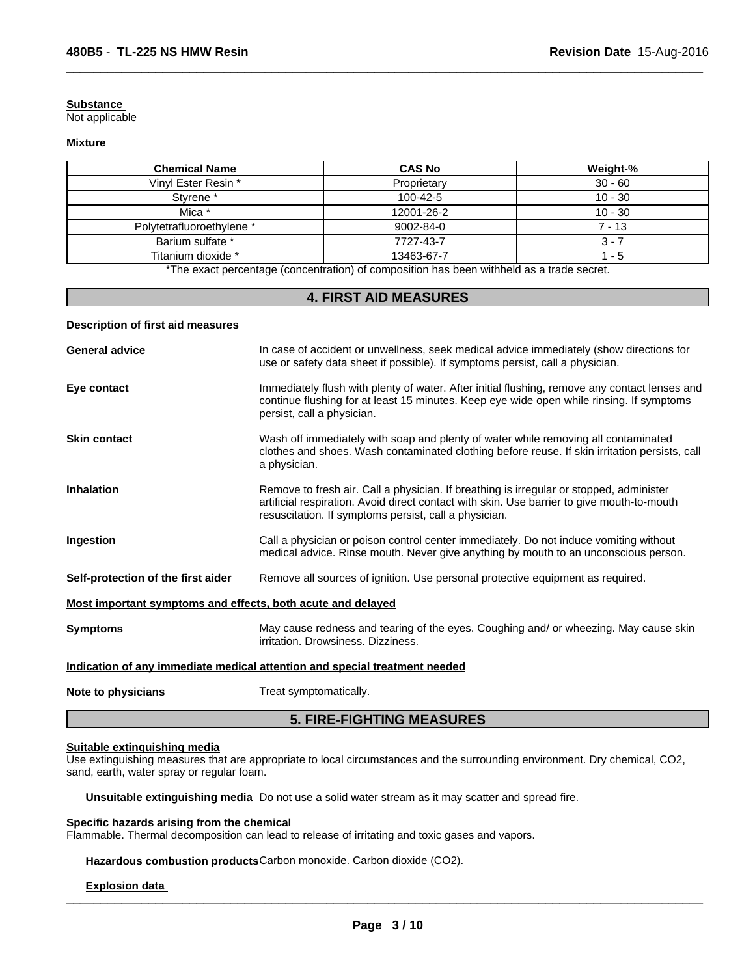#### **Substance**

Not applicable

### **Mixture**

| <b>Chemical Name</b>      | <b>CAS No</b>   | Weight-%  |
|---------------------------|-----------------|-----------|
| Vinyl Ester Resin *       | Proprietary     | $30 - 60$ |
| Styrene <sup>*</sup>      | 100-42-5        | $10 - 30$ |
| Mica *                    | 12001-26-2      | $10 - 30$ |
| Polytetrafluoroethylene * | $9002 - 84 - 0$ | 7 - 13    |
| Barium sulfate *          | 7727-43-7       | 3 - 1     |
| Titanium dioxide *        | 13463-67-7      | - 5       |

 $\overline{\phantom{a}}$  ,  $\overline{\phantom{a}}$  ,  $\overline{\phantom{a}}$  ,  $\overline{\phantom{a}}$  ,  $\overline{\phantom{a}}$  ,  $\overline{\phantom{a}}$  ,  $\overline{\phantom{a}}$  ,  $\overline{\phantom{a}}$  ,  $\overline{\phantom{a}}$  ,  $\overline{\phantom{a}}$  ,  $\overline{\phantom{a}}$  ,  $\overline{\phantom{a}}$  ,  $\overline{\phantom{a}}$  ,  $\overline{\phantom{a}}$  ,  $\overline{\phantom{a}}$  ,  $\overline{\phantom{a}}$ 

\*The exact percentage (concentration) of composition has been withheld as a trade secret.

### **4. FIRST AID MEASURES**

### **Description of first aid measures**

| <b>General advice</b>                                       | In case of accident or unwellness, seek medical advice immediately (show directions for<br>use or safety data sheet if possible). If symptoms persist, call a physician.                                                                       |
|-------------------------------------------------------------|------------------------------------------------------------------------------------------------------------------------------------------------------------------------------------------------------------------------------------------------|
| Eye contact                                                 | Immediately flush with plenty of water. After initial flushing, remove any contact lenses and<br>continue flushing for at least 15 minutes. Keep eye wide open while rinsing. If symptoms<br>persist, call a physician.                        |
| <b>Skin contact</b>                                         | Wash off immediately with soap and plenty of water while removing all contaminated<br>clothes and shoes. Wash contaminated clothing before reuse. If skin irritation persists, call<br>a physician.                                            |
| <b>Inhalation</b>                                           | Remove to fresh air. Call a physician. If breathing is irregular or stopped, administer<br>artificial respiration. Avoid direct contact with skin. Use barrier to give mouth-to-mouth<br>resuscitation. If symptoms persist, call a physician. |
| Ingestion                                                   | Call a physician or poison control center immediately. Do not induce vomiting without<br>medical advice. Rinse mouth. Never give anything by mouth to an unconscious person.                                                                   |
| Self-protection of the first aider                          | Remove all sources of ignition. Use personal protective equipment as required.                                                                                                                                                                 |
| Most important symptoms and effects, both acute and delayed |                                                                                                                                                                                                                                                |
| <b>Symptoms</b>                                             | May cause redness and tearing of the eyes. Coughing and/ or wheezing. May cause skin<br>irritation. Drowsiness. Dizziness.                                                                                                                     |
|                                                             | Indication of any immediate medical attention and special treatment needed                                                                                                                                                                     |
| Note to physicians                                          | Treat symptomatically.                                                                                                                                                                                                                         |

### **5. FIRE-FIGHTING MEASURES**

### **Suitable extinguishing media**

Use extinguishing measures that are appropriate to local circumstances and the surrounding environment. Dry chemical, CO2, sand, earth, water spray or regular foam.

**Unsuitable extinguishing media** Do not use a solid water stream as it may scatter and spread fire.

#### **Specific hazards arising from the chemical**

Flammable. Thermal decomposition can lead to release of irritating and toxic gases and vapors.

**Hazardous combustion products**Carbon monoxide. Carbon dioxide (CO2).

### **Explosion data**

 $\_$  ,  $\_$  ,  $\_$  ,  $\_$  ,  $\_$  ,  $\_$  ,  $\_$  ,  $\_$  ,  $\_$  ,  $\_$  ,  $\_$  ,  $\_$  ,  $\_$  ,  $\_$  ,  $\_$  ,  $\_$  ,  $\_$  ,  $\_$  ,  $\_$  ,  $\_$  ,  $\_$  ,  $\_$  ,  $\_$  ,  $\_$  ,  $\_$  ,  $\_$  ,  $\_$  ,  $\_$  ,  $\_$  ,  $\_$  ,  $\_$  ,  $\_$  ,  $\_$  ,  $\_$  ,  $\_$  ,  $\_$  ,  $\_$  ,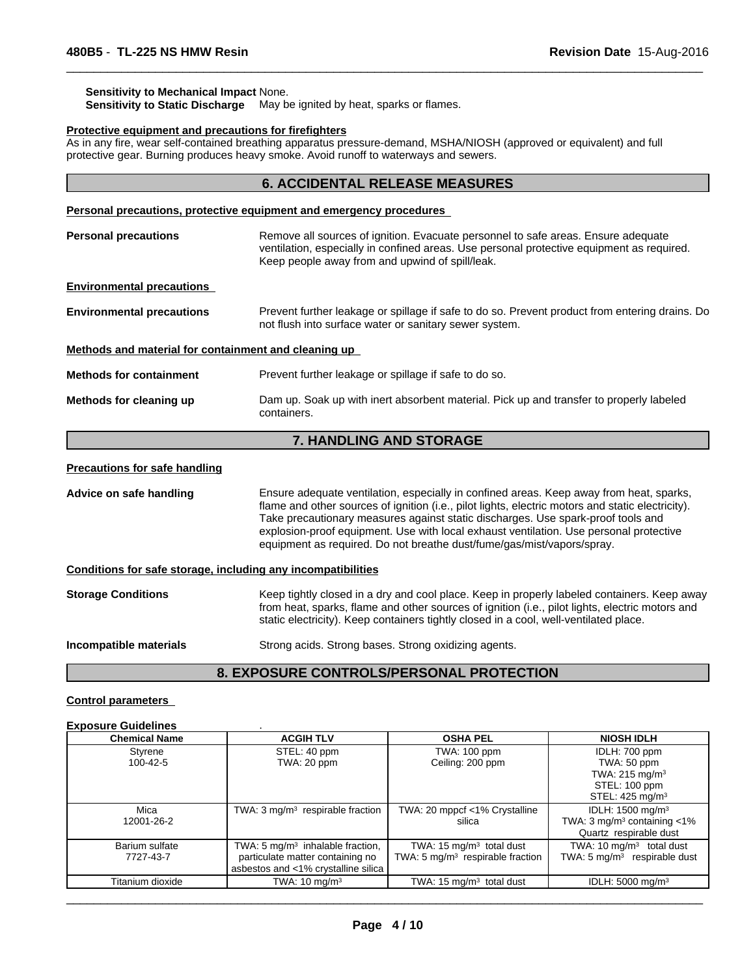#### **Sensitivity to Mechanical Impact** None.

**Sensitivity to Static Discharge** May be ignited by heat, sparks or flames.

#### **Protective equipment and precautions for firefighters**

As in any fire, wear self-contained breathing apparatus pressure-demand, MSHA/NIOSH (approved or equivalent) and full protective gear. Burning produces heavy smoke. Avoid runoff to waterways and sewers.

### **6. ACCIDENTAL RELEASE MEASURES**

 $\overline{\phantom{a}}$  ,  $\overline{\phantom{a}}$  ,  $\overline{\phantom{a}}$  ,  $\overline{\phantom{a}}$  ,  $\overline{\phantom{a}}$  ,  $\overline{\phantom{a}}$  ,  $\overline{\phantom{a}}$  ,  $\overline{\phantom{a}}$  ,  $\overline{\phantom{a}}$  ,  $\overline{\phantom{a}}$  ,  $\overline{\phantom{a}}$  ,  $\overline{\phantom{a}}$  ,  $\overline{\phantom{a}}$  ,  $\overline{\phantom{a}}$  ,  $\overline{\phantom{a}}$  ,  $\overline{\phantom{a}}$ 

#### **Personal precautions, protective equipment and emergency procedures**

| <b>Personal precautions</b>                          | Remove all sources of ignition. Evacuate personnel to safe areas. Ensure adequate<br>ventilation, especially in confined areas. Use personal protective equipment as required.<br>Keep people away from and upwind of spill/leak. |  |  |  |
|------------------------------------------------------|-----------------------------------------------------------------------------------------------------------------------------------------------------------------------------------------------------------------------------------|--|--|--|
| <b>Environmental precautions</b>                     |                                                                                                                                                                                                                                   |  |  |  |
| <b>Environmental precautions</b>                     | Prevent further leakage or spillage if safe to do so. Prevent product from entering drains. Do<br>not flush into surface water or sanitary sewer system.                                                                          |  |  |  |
| Methods and material for containment and cleaning up |                                                                                                                                                                                                                                   |  |  |  |
| <b>Methods for containment</b>                       | Prevent further leakage or spillage if safe to do so.                                                                                                                                                                             |  |  |  |
| Methods for cleaning up                              | Dam up. Soak up with inert absorbent material. Pick up and transfer to properly labeled<br>containers.                                                                                                                            |  |  |  |

### **7. HANDLING AND STORAGE**

#### **Precautions for safe handling**

**Advice on safe handling** Ensure adequate ventilation, especially in confined areas. Keep away from heat, sparks, flame and other sources of ignition (i.e., pilot lights, electric motors and static electricity). Take precautionary measures against static discharges. Use spark-proof tools and explosion-proof equipment. Use with local exhaust ventilation. Use personal protective equipment as required. Do not breathe dust/fume/gas/mist/vapors/spray.

#### **Conditions for safe storage, including any incompatibilities**

| <b>Storage Conditions</b> | Keep tightly closed in a dry and cool place. Keep in properly labeled containers. Keep away<br>from heat, sparks, flame and other sources of ignition (i.e., pilot lights, electric motors and<br>static electricity). Keep containers tightly closed in a cool, well-ventilated place. |
|---------------------------|-----------------------------------------------------------------------------------------------------------------------------------------------------------------------------------------------------------------------------------------------------------------------------------------|
| Incompatible materials    | Strong acids. Strong bases. Strong oxidizing agents.                                                                                                                                                                                                                                    |

# **8. EXPOSURE CONTROLS/PERSONAL PROTECTION**

### **Control parameters Exposure Guidelines** .

| EXPOSULE QUIUEIIIIES |                                            |                                     |                                            |
|----------------------|--------------------------------------------|-------------------------------------|--------------------------------------------|
| <b>Chemical Name</b> | <b>ACGIH TLV</b>                           | <b>OSHA PEL</b>                     | <b>NIOSH IDLH</b>                          |
| Styrene              | STEL: 40 ppm                               | TWA: 100 ppm                        | IDLH: 700 ppm                              |
| 100-42-5             | TWA: 20 ppm                                | Ceiling: 200 ppm                    | TWA: 50 ppm                                |
|                      |                                            |                                     | TWA: $215 \text{ mg/m}^3$                  |
|                      |                                            |                                     | STEL: 100 ppm                              |
|                      |                                            |                                     | STEL: $425 \text{ mg/m}^3$                 |
| Mica                 | TWA: $3 \text{mq/m}^3$ respirable fraction | TWA: 20 mppcf <1% Crystalline       | IDLH: 1500 mg/m <sup>3</sup>               |
| 12001-26-2           |                                            | silica                              | TWA: $3 \text{ mg/m}^3$ containing $< 1\%$ |
|                      |                                            |                                     | Quartz respirable dust                     |
| Barium sulfate       | TWA: 5 $mq/m3$ inhalable fraction,         | TWA: $15 \text{ mg/m}^3$ total dust | TWA: 10 $mg/m3$ total dust                 |
| 7727-43-7            | particulate matter containing no           | TWA: 5 $mg/m3$ respirable fraction  | TWA: $5 \text{ mg/m}^3$ respirable dust    |
|                      | asbestos and <1% crystalline silica        |                                     |                                            |
| Titanium dioxide     | TWA: $10 \text{ mg/m}^3$                   | TWA: $15 \text{ mg/m}^3$ total dust | IDLH: $5000 \text{ mg/m}^3$                |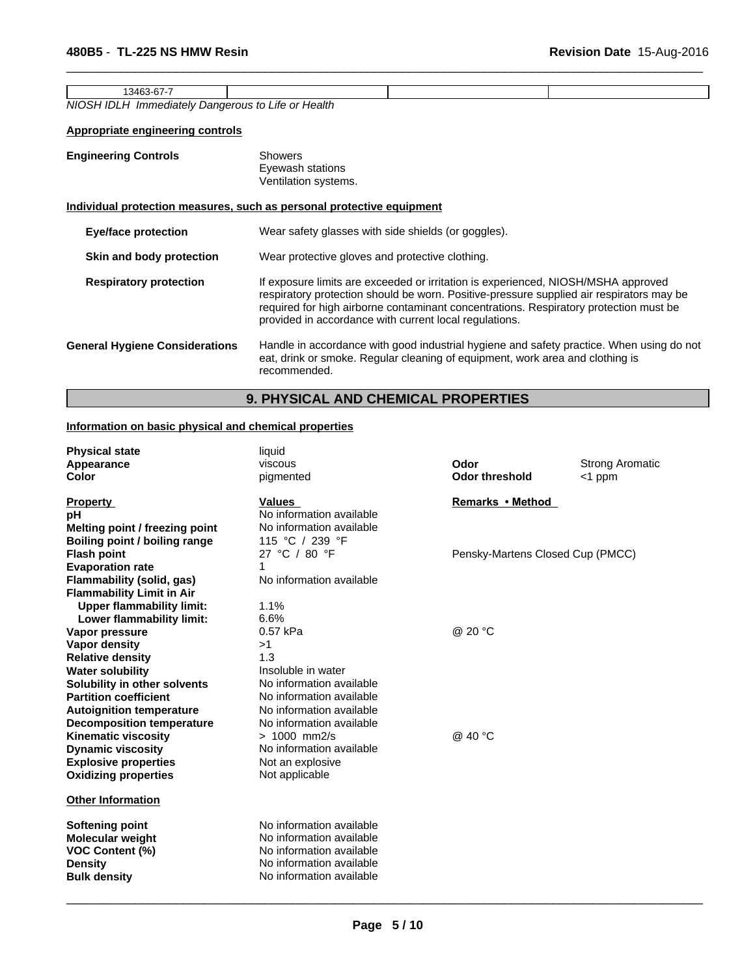| 3463-67-                  |                                |  |
|---------------------------|--------------------------------|--|
| NIOSH IDLH<br>Immediatelv | Health<br>Dangerous to Life or |  |

 $\overline{\phantom{a}}$  ,  $\overline{\phantom{a}}$  ,  $\overline{\phantom{a}}$  ,  $\overline{\phantom{a}}$  ,  $\overline{\phantom{a}}$  ,  $\overline{\phantom{a}}$  ,  $\overline{\phantom{a}}$  ,  $\overline{\phantom{a}}$  ,  $\overline{\phantom{a}}$  ,  $\overline{\phantom{a}}$  ,  $\overline{\phantom{a}}$  ,  $\overline{\phantom{a}}$  ,  $\overline{\phantom{a}}$  ,  $\overline{\phantom{a}}$  ,  $\overline{\phantom{a}}$  ,  $\overline{\phantom{a}}$ 

### **Appropriate engineering controls**

| <b>Engineering Controls</b>                                           | <b>Showers</b><br>Eyewash stations<br>Ventilation systems.                                                                                                                                                                                                                                                                       |
|-----------------------------------------------------------------------|----------------------------------------------------------------------------------------------------------------------------------------------------------------------------------------------------------------------------------------------------------------------------------------------------------------------------------|
| Individual protection measures, such as personal protective equipment |                                                                                                                                                                                                                                                                                                                                  |
| <b>Eye/face protection</b>                                            | Wear safety glasses with side shields (or goggles).                                                                                                                                                                                                                                                                              |
| Skin and body protection                                              | Wear protective gloves and protective clothing.                                                                                                                                                                                                                                                                                  |
| <b>Respiratory protection</b>                                         | If exposure limits are exceeded or irritation is experienced, NIOSH/MSHA approved<br>respiratory protection should be worn. Positive-pressure supplied air respirators may be<br>required for high airborne contaminant concentrations. Respiratory protection must be<br>provided in accordance with current local regulations. |
| <b>General Hygiene Considerations</b>                                 | Handle in accordance with good industrial hygiene and safety practice. When using do not<br>eat, drink or smoke. Regular cleaning of equipment, work area and clothing is<br>recommended.                                                                                                                                        |

# **9. PHYSICAL AND CHEMICAL PROPERTIES**

### **Information on basic physical and chemical properties**

| <b>Physical state</b><br>Appearance<br>Color                                                                  | liquid<br>viscous<br>pigmented                                                                                                           | Odor<br><b>Odor threshold</b>    | <b>Strong Aromatic</b><br>$<$ 1 ppm |
|---------------------------------------------------------------------------------------------------------------|------------------------------------------------------------------------------------------------------------------------------------------|----------------------------------|-------------------------------------|
| <b>Property</b><br>рH<br>Melting point / freezing point                                                       | <b>Values</b><br>No information available<br>No information available                                                                    | Remarks • Method                 |                                     |
| Boiling point / boiling range                                                                                 | 115 °C / 239 °F                                                                                                                          |                                  |                                     |
| <b>Flash point</b>                                                                                            | 27 °C / 80 °F                                                                                                                            | Pensky-Martens Closed Cup (PMCC) |                                     |
| <b>Evaporation rate</b>                                                                                       | 1                                                                                                                                        |                                  |                                     |
| Flammability (solid, gas)<br><b>Flammability Limit in Air</b>                                                 | No information available                                                                                                                 |                                  |                                     |
| <b>Upper flammability limit:</b><br>Lower flammability limit:                                                 | 1.1%<br>6.6%                                                                                                                             |                                  |                                     |
| Vapor pressure                                                                                                | 0.57 kPa                                                                                                                                 | @ 20 °C                          |                                     |
| <b>Vapor density</b>                                                                                          | >1                                                                                                                                       |                                  |                                     |
| <b>Relative density</b>                                                                                       | 1.3                                                                                                                                      |                                  |                                     |
| <b>Water solubility</b>                                                                                       | Insoluble in water                                                                                                                       |                                  |                                     |
| Solubility in other solvents                                                                                  | No information available                                                                                                                 |                                  |                                     |
| <b>Partition coefficient</b>                                                                                  | No information available                                                                                                                 |                                  |                                     |
| <b>Autoignition temperature</b>                                                                               | No information available<br>No information available                                                                                     |                                  |                                     |
| <b>Decomposition temperature</b><br><b>Kinematic viscosity</b>                                                | $> 1000$ mm2/s                                                                                                                           | @ 40 °C                          |                                     |
| <b>Dynamic viscosity</b>                                                                                      | No information available                                                                                                                 |                                  |                                     |
| <b>Explosive properties</b>                                                                                   | Not an explosive                                                                                                                         |                                  |                                     |
| <b>Oxidizing properties</b>                                                                                   | Not applicable                                                                                                                           |                                  |                                     |
| <b>Other Information</b>                                                                                      |                                                                                                                                          |                                  |                                     |
| Softening point<br><b>Molecular weight</b><br><b>VOC Content (%)</b><br><b>Density</b><br><b>Bulk density</b> | No information available<br>No information available<br>No information available<br>No information available<br>No information available |                                  |                                     |
|                                                                                                               |                                                                                                                                          |                                  |                                     |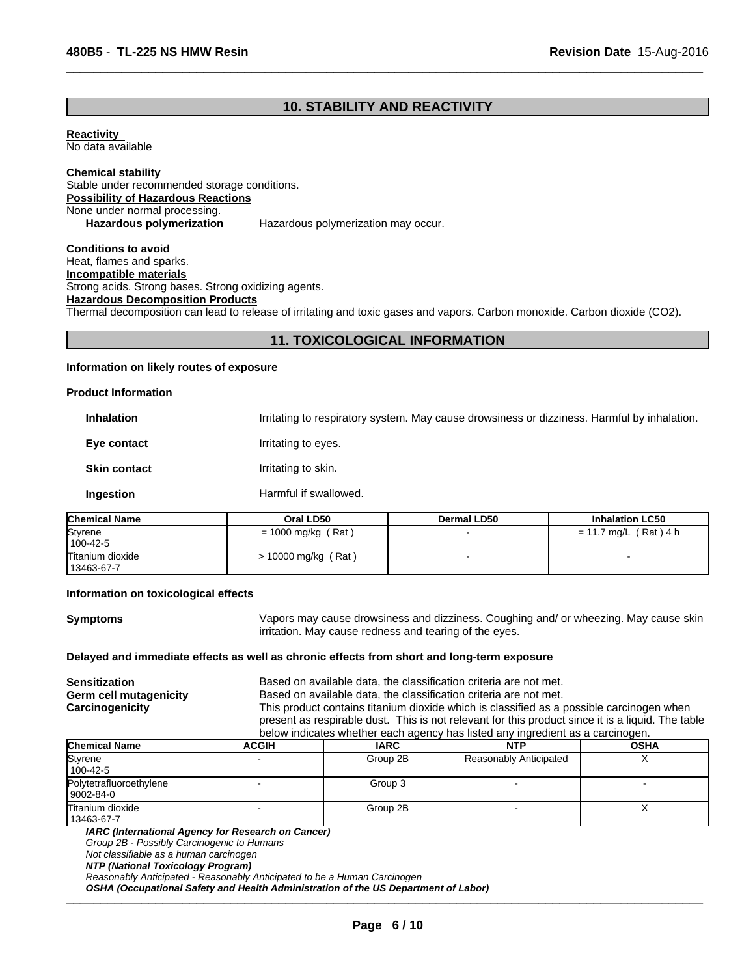### **10. STABILITY AND REACTIVITY**

 $\overline{\phantom{a}}$  ,  $\overline{\phantom{a}}$  ,  $\overline{\phantom{a}}$  ,  $\overline{\phantom{a}}$  ,  $\overline{\phantom{a}}$  ,  $\overline{\phantom{a}}$  ,  $\overline{\phantom{a}}$  ,  $\overline{\phantom{a}}$  ,  $\overline{\phantom{a}}$  ,  $\overline{\phantom{a}}$  ,  $\overline{\phantom{a}}$  ,  $\overline{\phantom{a}}$  ,  $\overline{\phantom{a}}$  ,  $\overline{\phantom{a}}$  ,  $\overline{\phantom{a}}$  ,  $\overline{\phantom{a}}$ 

**Reactivity** 

No data available

**Chemical stability** Stable under recommended storage conditions. **Possibility of Hazardous Reactions** None under normal processing. **Hazardous polymerization** Hazardous polymerization may occur.

**Conditions to avoid** Heat, flames and sparks. **Incompatible materials** Strong acids. Strong bases. Strong oxidizing agents. **Hazardous Decomposition Products**

Thermal decomposition can lead to release of irritating and toxic gases and vapors. Carbon monoxide. Carbon dioxide (CO2).

### **11. TOXICOLOGICAL INFORMATION**

#### **Information on likely routes of exposure**

| <b>Product Information</b> |                                                                                             |
|----------------------------|---------------------------------------------------------------------------------------------|
| <b>Inhalation</b>          | Irritating to respiratory system. May cause drowsiness or dizziness. Harmful by inhalation. |
| Eye contact                | Irritating to eyes.                                                                         |
| <b>Skin contact</b>        | Irritating to skin.                                                                         |
| Ingestion                  | Harmful if swallowed.                                                                       |
|                            |                                                                                             |

| <b>Chemical Name</b> | Oral LD50            | <b>Dermal LD50</b> | <b>Inhalation LC50</b> |  |
|----------------------|----------------------|--------------------|------------------------|--|
| Styrene              | $= 1000$ mg/kg (Rat) |                    | = 11.7 mg/L (Rat) 4 h  |  |
| 100-42-5             |                      |                    |                        |  |
| Titanium dioxide     | > 10000 mg/kg (Rat)  |                    |                        |  |
| 13463-67-7           |                      |                    |                        |  |

#### **Information on toxicological effects**

**Symptoms** Vapors may cause drowsiness and dizziness. Coughing and/ or wheezing. May cause skin irritation. May cause redness and tearing of the eyes.

### **Delayed and immediate effects as well as chronic effects from short and long-term exposure**

| Sensitization          |                                                                                | Based on available data, the classification criteria are not met.                                 |            |             |  |  |  |
|------------------------|--------------------------------------------------------------------------------|---------------------------------------------------------------------------------------------------|------------|-------------|--|--|--|
| Germ cell mutagenicity |                                                                                | Based on available data, the classification criteria are not met.                                 |            |             |  |  |  |
| Carcinogenicity        |                                                                                | This product contains titanium dioxide which is classified as a possible carcinogen when          |            |             |  |  |  |
|                        |                                                                                | present as respirable dust. This is not relevant for this product since it is a liquid. The table |            |             |  |  |  |
|                        | below indicates whether each agency has listed any ingredient as a carcinogen. |                                                                                                   |            |             |  |  |  |
| lChemical Name         | ACGIH                                                                          | IARC.                                                                                             | <b>NTP</b> | <b>OSHA</b> |  |  |  |

| <b>Chemical Name</b>                 | <b>ACGIH</b> | <b>IARC</b> | <b>NTP</b>                    | <b>OSHA</b> |
|--------------------------------------|--------------|-------------|-------------------------------|-------------|
| Styrene<br>100-42-5                  |              | Group 2B    | <b>Reasonably Anticipated</b> |             |
| Polytetrafluoroethylene<br>9002-84-0 |              | Group 3     |                               |             |
| lTitanium dioxide<br>13463-67-7      |              | Group 2B    |                               |             |

*IARC (International Agency for Research on Cancer)*

*Group 2B - Possibly Carcinogenic to Humans*

*Not classifiable as a human carcinogen*

*NTP (National Toxicology Program)*

*Reasonably Anticipated - Reasonably Anticipated to be a Human Carcinogen*

OSHA (Occupational Safety and Health Administration of the US Department of Labor)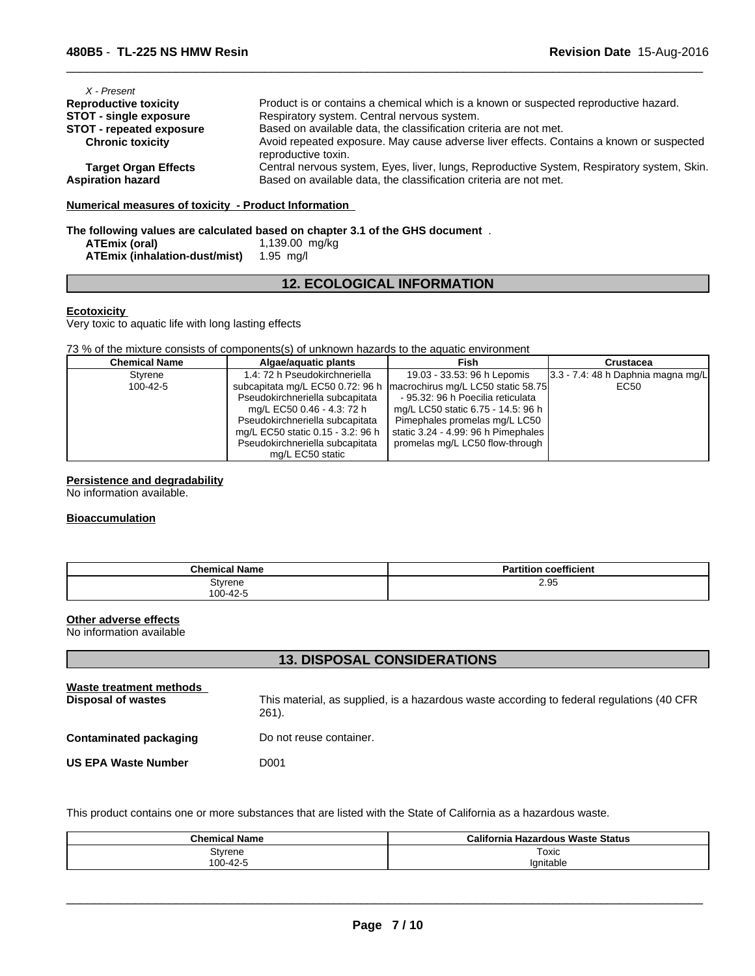| X - Present<br><b>Reproductive toxicity</b> | Product is or contains a chemical which is a known or suspected reproductive hazard.                           |
|---------------------------------------------|----------------------------------------------------------------------------------------------------------------|
|                                             |                                                                                                                |
| <b>STOT - single exposure</b>               | Respiratory system. Central nervous system.                                                                    |
| <b>STOT - repeated exposure</b>             | Based on available data, the classification criteria are not met.                                              |
| <b>Chronic toxicity</b>                     | Avoid repeated exposure. May cause adverse liver effects. Contains a known or suspected<br>reproductive toxin. |
| <b>Target Organ Effects</b>                 | Central nervous system, Eyes, liver, lungs, Reproductive System, Respiratory system, Skin.                     |
| <b>Aspiration hazard</b>                    | Based on available data, the classification criteria are not met.                                              |

 $\overline{\phantom{a}}$  ,  $\overline{\phantom{a}}$  ,  $\overline{\phantom{a}}$  ,  $\overline{\phantom{a}}$  ,  $\overline{\phantom{a}}$  ,  $\overline{\phantom{a}}$  ,  $\overline{\phantom{a}}$  ,  $\overline{\phantom{a}}$  ,  $\overline{\phantom{a}}$  ,  $\overline{\phantom{a}}$  ,  $\overline{\phantom{a}}$  ,  $\overline{\phantom{a}}$  ,  $\overline{\phantom{a}}$  ,  $\overline{\phantom{a}}$  ,  $\overline{\phantom{a}}$  ,  $\overline{\phantom{a}}$ 

### **Numerical measures of toxicity - Product Information**

### **The following values are calculated based on chapter 3.1 of the GHS document** .

| ATEmix (oral)                 | 1,139.00 mg/kg |
|-------------------------------|----------------|
| ATEmix (inhalation-dust/mist) | 1.95 mg/l      |

### **12. ECOLOGICAL INFORMATION**

#### **Ecotoxicity**

Very toxic to aquatic life with long lasting effects

73 % of the mixture consists of components(s) of unknown hazards to the aquatic environment

| <b>Chemical Name</b> | Algae/aguatic plants              | Fish                                | Crustacea                             |
|----------------------|-----------------------------------|-------------------------------------|---------------------------------------|
| Styrene              | 1.4: 72 h Pseudokirchneriella     | 19.03 - 33.53: 96 h Lepomis         | $3.3 - 7.4$ : 48 h Daphnia magna mg/L |
| $100 - 42 - 5$       | subcapitata mg/L EC50 0.72: 96 h  | macrochirus mg/L LC50 static 58.75  | EC50                                  |
|                      | Pseudokirchneriella subcapitata   | - 95.32: 96 h Poecilia reticulata   |                                       |
|                      | mg/L EC50 0.46 - 4.3: 72 h        | mg/L LC50 static 6.75 - 14.5: 96 h  |                                       |
|                      | Pseudokirchneriella subcapitata   | Pimephales promelas mg/L LC50       |                                       |
|                      | mg/L EC50 static 0.15 - 3.2: 96 h | static 3.24 - 4.99: 96 h Pimephales |                                       |
|                      | Pseudokirchneriella subcapitata   | promelas mg/L LC50 flow-through     |                                       |
|                      | mg/L EC50 static                  |                                     |                                       |

### **Persistence and degradability**

No information available.

#### **Bioaccumulation**

| <b>Chemical Name</b> | <b>Partition coefficient</b> |
|----------------------|------------------------------|
| Styrene<br>100-42-5  | 2.95                         |

### **Other adverse effects**

No information available

### **13. DISPOSAL CONSIDERATIONS**

| Waste treatment methods<br>Disposal of wastes | This material, as supplied, is a hazardous waste according to federal regulations (40 CFR<br>$261$ ). |
|-----------------------------------------------|-------------------------------------------------------------------------------------------------------|
| <b>Contaminated packaging</b>                 | Do not reuse container.                                                                               |
| <b>US EPA Waste Number</b>                    | D001                                                                                                  |

This product contains one or more substances that are listed with the State of California as a hazardous waste.

| <b>Chemical Name</b> | California Hazardous Waste Status |
|----------------------|-----------------------------------|
| Styrene              | Toxic                             |
| 100-42-5             | Ignitable                         |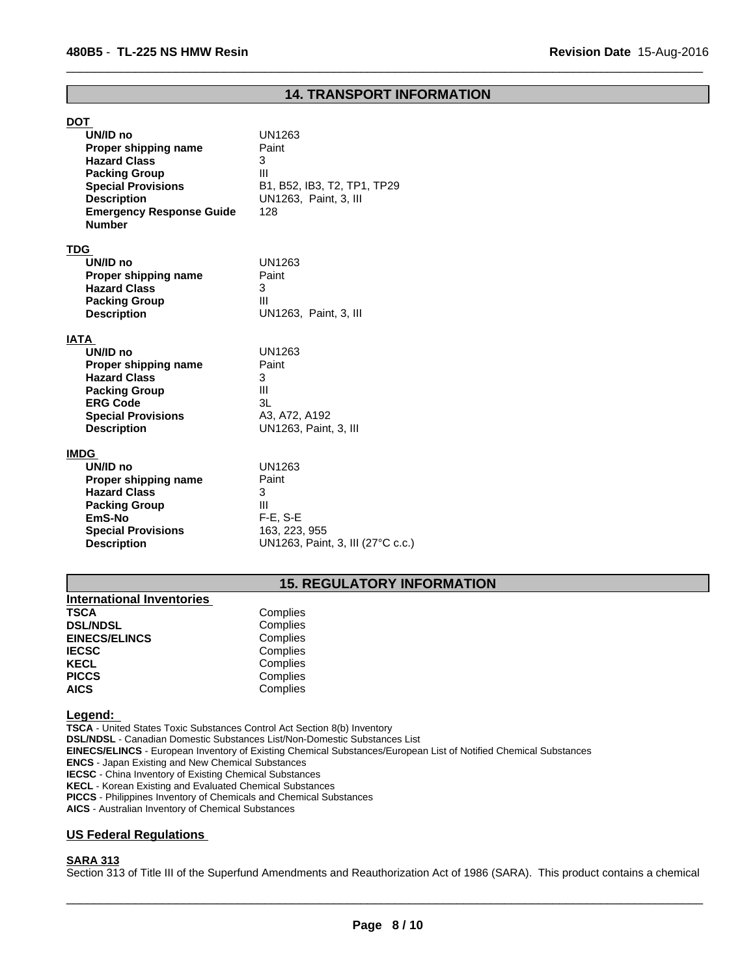### **14. TRANSPORT INFORMATION**

 $\overline{\phantom{a}}$  ,  $\overline{\phantom{a}}$  ,  $\overline{\phantom{a}}$  ,  $\overline{\phantom{a}}$  ,  $\overline{\phantom{a}}$  ,  $\overline{\phantom{a}}$  ,  $\overline{\phantom{a}}$  ,  $\overline{\phantom{a}}$  ,  $\overline{\phantom{a}}$  ,  $\overline{\phantom{a}}$  ,  $\overline{\phantom{a}}$  ,  $\overline{\phantom{a}}$  ,  $\overline{\phantom{a}}$  ,  $\overline{\phantom{a}}$  ,  $\overline{\phantom{a}}$  ,  $\overline{\phantom{a}}$ 

| <b>DOT</b><br>UN/ID no<br>Proper shipping name<br><b>Hazard Class</b><br><b>Packing Group</b><br><b>Special Provisions</b><br><b>Description</b><br><b>Emergency Response Guide</b><br><b>Number</b> | UN1263<br>Paint<br>3<br>Ш<br>B1, B52, IB3, T2, TP1, TP29<br>UN1263, Paint, 3, III<br>128       |
|------------------------------------------------------------------------------------------------------------------------------------------------------------------------------------------------------|------------------------------------------------------------------------------------------------|
| <b>TDG</b><br>UN/ID no<br>Proper shipping name<br><b>Hazard Class</b><br><b>Packing Group</b><br><b>Description</b>                                                                                  | UN1263<br>Paint<br>3<br>Ш<br>UN1263, Paint, 3, III                                             |
| IATA<br>UN/ID no<br>Proper shipping name<br><b>Hazard Class</b><br><b>Packing Group</b><br><b>ERG Code</b><br><b>Special Provisions</b><br><b>Description</b>                                        | UN1263<br>Paint<br>3<br>III<br>3L<br>A3, A72, A192<br>UN1263, Paint, 3, III                    |
| <b>IMDG</b><br>UN/ID no<br>Proper shipping name<br><b>Hazard Class</b><br><b>Packing Group</b><br>EmS-No<br><b>Special Provisions</b><br><b>Description</b>                                          | UN1263<br>Paint<br>3<br>Ш<br>$F-E$ , S-E<br>163, 223, 955<br>UN1263, Paint, 3, III (27°C c.c.) |

### **15. REGULATORY INFORMATION**

| Complies |  |
|----------|--|
| Complies |  |
| Complies |  |
| Complies |  |
| Complies |  |
| Complies |  |
| Complies |  |
|          |  |

#### **Legend:**

**TSCA** - United States Toxic Substances Control Act Section 8(b) Inventory **DSL/NDSL** - Canadian Domestic Substances List/Non-Domestic Substances List **EINECS/ELINCS** - European Inventory of Existing Chemical Substances/European List of Notified Chemical Substances **ENCS** - Japan Existing and New Chemical Substances **IECSC** - China Inventory of Existing Chemical Substances **KECL** - Korean Existing and Evaluated Chemical Substances

**PICCS** - Philippines Inventory of Chemicals and Chemical Substances

**AICS** - Australian Inventory of Chemical Substances

### **US Federal Regulations**

#### **SARA 313**

Section 313 of Title III of the Superfund Amendments and Reauthorization Act of 1986 (SARA). This product contains a chemical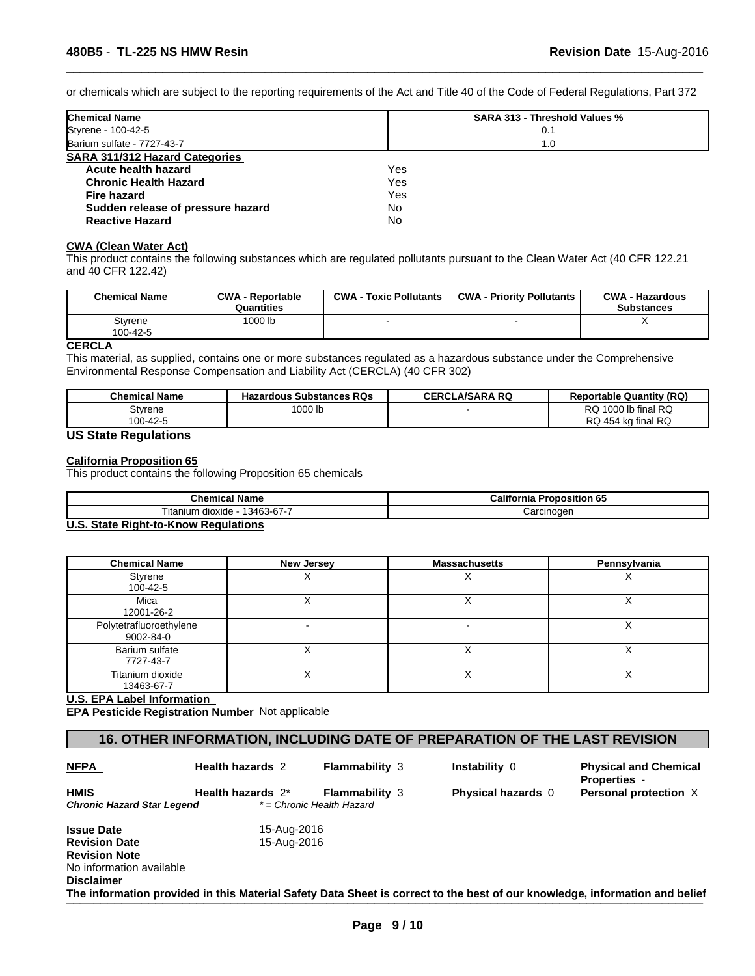or chemicals which are subject to the reporting requirements of the Act and Title 40 of the Code of Federal Regulations, Part 372

 $\overline{\phantom{a}}$  ,  $\overline{\phantom{a}}$  ,  $\overline{\phantom{a}}$  ,  $\overline{\phantom{a}}$  ,  $\overline{\phantom{a}}$  ,  $\overline{\phantom{a}}$  ,  $\overline{\phantom{a}}$  ,  $\overline{\phantom{a}}$  ,  $\overline{\phantom{a}}$  ,  $\overline{\phantom{a}}$  ,  $\overline{\phantom{a}}$  ,  $\overline{\phantom{a}}$  ,  $\overline{\phantom{a}}$  ,  $\overline{\phantom{a}}$  ,  $\overline{\phantom{a}}$  ,  $\overline{\phantom{a}}$ 

| <b>Chemical Name</b>                  | <b>SARA 313 - Threshold Values %</b> |  |
|---------------------------------------|--------------------------------------|--|
| Styrene - 100-42-5                    | 0.1                                  |  |
| Barium sulfate - 7727-43-7            | 1.0                                  |  |
| <b>SARA 311/312 Hazard Categories</b> |                                      |  |
| Acute health hazard                   | Yes                                  |  |
| <b>Chronic Health Hazard</b>          | Yes                                  |  |
| <b>Fire hazard</b>                    | Yes                                  |  |
| Sudden release of pressure hazard     | No                                   |  |
| <b>Reactive Hazard</b>                | No                                   |  |
|                                       |                                      |  |

#### **CWA (Clean Water Act)**

This product contains the following substances which are regulated pollutants pursuant to the Clean Water Act (40 CFR 122.21 and 40 CFR 122.42)

| <b>Chemical Name</b>        | <b>CWA - Reportable</b><br>Quantities | <b>CWA - Toxic Pollutants</b> | <b>CWA - Priority Pollutants</b> | <b>CWA - Hazardous</b><br><b>Substances</b> |
|-----------------------------|---------------------------------------|-------------------------------|----------------------------------|---------------------------------------------|
| Stvrene                     | 1000 lb                               |                               |                                  |                                             |
| 100-42-5                    |                                       |                               |                                  |                                             |
| $P$ $P$ $P$ $P$ $P$ $P$ $P$ |                                       |                               |                                  |                                             |

#### **CERCLA**

This material, as supplied, contains one or more substances regulated as a hazardous substance under the Comprehensive Environmental Response Compensation and Liability Act (CERCLA) (40 CFR 302)

| <b>Chemical Name</b>                      | <b>Hazardous Substances RQs</b> | <b>CERCLA/SARA RQ</b> | <b>Reportable Quantity (RQ)</b> |
|-------------------------------------------|---------------------------------|-----------------------|---------------------------------|
| Styrene                                   | 1000 lb                         |                       | RQ 1000 lb final RQ             |
| 100-42-5<br>$110.04 - 1.00$ $1.01 - 1.00$ |                                 |                       | RQ 454 kg final RQ              |

## **US State Regulations**

### **California Proposition 65**

This product contains the following Proposition 65 chemicals

| l Name<br>'h am<br>UNCHILGO                                                    | $\cdots$<br>California<br>. .<br>'roposition 65 |
|--------------------------------------------------------------------------------|-------------------------------------------------|
| $\sim$ $\sim$ $\sim$<br>--<br>3463<br>dioxide<br>. itanıur<br>$3 - h / -$<br>. | ∶arcınoɑer                                      |

#### **U.S. State Right-to-Know Regulations**

| <b>Chemical Name</b>                 | New Jersey | <b>Massachusetts</b> | Pennsylvania |
|--------------------------------------|------------|----------------------|--------------|
| Styrene<br>100-42-5                  |            |                      |              |
| Mica<br>12001-26-2                   |            |                      | ⌒            |
| Polytetrafluoroethylene<br>9002-84-0 |            |                      |              |
| Barium sulfate<br>7727-43-7          |            |                      | ⌒            |
| Titanium dioxide<br>13463-67-7       |            |                      | ⌒            |

#### **U.S. EPA Label Information**

**EPA Pesticide Registration Number** Not applicable

### **16. OTHER INFORMATION, INCLUDING DATE OF PREPARATION OF THE LAST REVISION**

| <b>NFPA</b>                        | <b>Health hazards 2</b> | <b>Flammability 3</b>                              | <b>Instability 0</b>      | <b>Physical and Chemical</b><br><b>Properties -</b>                                                                         |
|------------------------------------|-------------------------|----------------------------------------------------|---------------------------|-----------------------------------------------------------------------------------------------------------------------------|
| HMIS<br>Chronic Hazard Star Legend | Health hazards 2*       | <b>Flammability 3</b><br>* = Chronic Health Hazard | <b>Physical hazards</b> 0 | Personal protection X                                                                                                       |
| Issue Date                         | 15-Aug-2016             |                                                    |                           |                                                                                                                             |
| <b>Revision Date</b>               | 15-Aug-2016             |                                                    |                           |                                                                                                                             |
| <b>Revision Note</b>               |                         |                                                    |                           |                                                                                                                             |
| No information available           |                         |                                                    |                           |                                                                                                                             |
| Disclaimer                         |                         |                                                    |                           |                                                                                                                             |
|                                    |                         |                                                    |                           | The information provided in this Material Safety Data Sheet is correct to the best of our knowledge, information and belief |
|                                    |                         |                                                    |                           |                                                                                                                             |